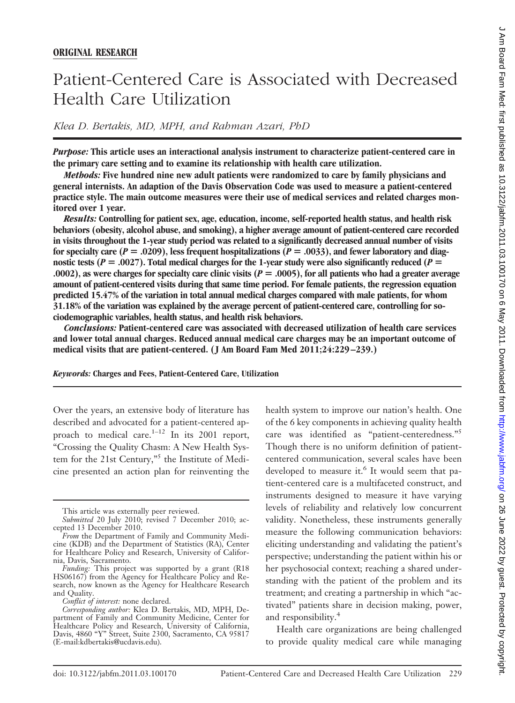# Patient-Centered Care is Associated with Decreased Health Care Utilization

*Klea D. Bertakis, MD, MPH, and Rahman Azari, PhD*

*Purpose:* **This article uses an interactional analysis instrument to characterize patient-centered care in the primary care setting and to examine its relationship with health care utilization.**

*Methods:* **Five hundred nine new adult patients were randomized to care by family physicians and general internists. An adaption of the Davis Observation Code was used to measure a patient-centered practice style. The main outcome measures were their use of medical services and related charges monitored over 1 year.**

*Results:* **Controlling for patient sex, age, education, income, self-reported health status, and health risk behaviors (obesity, alcohol abuse, and smoking), a higher average amount of patient-centered care recorded in visits throughout the 1-year study period was related to a significantly decreased annual number of visits** for specialty care ( $P = .0209$ ), less frequent hospitalizations ( $P = .0033$ ), and fewer laboratory and diagnostic tests ( $P = .0027$ ). Total medical charges for the 1-year study were also significantly reduced ( $P =$ **.0002), as were charges for specialty care clinic visits (***P* **.0005), for all patients who had a greater average amount of patient-centered visits during that same time period. For female patients, the regression equation predicted 15.47% of the variation in total annual medical charges compared with male patients, for whom 31.18% of the variation was explained by the average percent of patient-centered care, controlling for sociodemographic variables, health status, and health risk behaviors.**

*Conclusions:* **Patient-centered care was associated with decreased utilization of health care services and lower total annual charges. Reduced annual medical care charges may be an important outcome of medical visits that are patient-centered. ( J Am Board Fam Med 2011;24:229 –239.)**

*Keywords:* **Charges and Fees, Patient-Centered Care, Utilization**

Over the years, an extensive body of literature has described and advocated for a patient-centered approach to medical care. $1-12$  In its 2001 report, "Crossing the Quality Chasm: A New Health System for the 21st Century,"<sup>5</sup> the Institute of Medicine presented an action plan for reinventing the

health system to improve our nation's health. One of the 6 key components in achieving quality health care was identified as "patient-centeredness."5 Though there is no uniform definition of patientcentered communication, several scales have been developed to measure it.<sup>6</sup> It would seem that patient-centered care is a multifaceted construct, and instruments designed to measure it have varying levels of reliability and relatively low concurrent validity. Nonetheless, these instruments generally measure the following communication behaviors: eliciting understanding and validating the patient's perspective; understanding the patient within his or her psychosocial context; reaching a shared understanding with the patient of the problem and its treatment; and creating a partnership in which "activated" patients share in decision making, power, and responsibility.<sup>4</sup>

Health care organizations are being challenged to provide quality medical care while managing

This article was externally peer reviewed.

*Submitted* 20 July 2010; revised 7 December 2010; accepted 13 December 2010.

*From* the Department of Family and Community Medicine (KDB) and the Department of Statistics (RA), Center for Healthcare Policy and Research, University of California, Davis, Sacramento.

*Funding:* This project was supported by a grant (R18 HS06167) from the Agency for Healthcare Policy and Research, now known as the Agency for Healthcare Research and Quality.

*Conflict of interest:* none declared.

*Corresponding author:* Klea D. Bertakis, MD, MPH, Department of Family and Community Medicine, Center for Healthcare Policy and Research, University of California, Davis, 4860 "Y" Street, Suite 2300, Sacramento, CA 95817 (E-mail:kdbertakis@ucdavis.edu).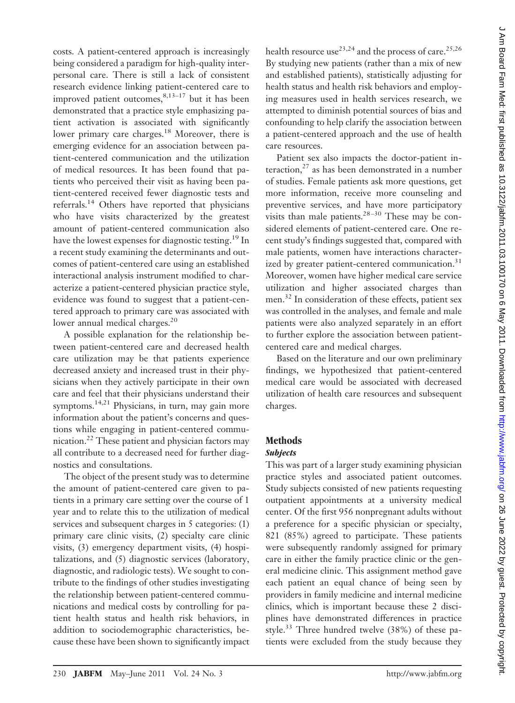costs. A patient-centered approach is increasingly being considered a paradigm for high-quality interpersonal care. There is still a lack of consistent research evidence linking patient-centered care to improved patient outcomes,  $8,13-17$  but it has been demonstrated that a practice style emphasizing patient activation is associated with significantly lower primary care charges.<sup>18</sup> Moreover, there is emerging evidence for an association between patient-centered communication and the utilization of medical resources. It has been found that patients who perceived their visit as having been patient-centered received fewer diagnostic tests and referrals.<sup>14</sup> Others have reported that physicians who have visits characterized by the greatest amount of patient-centered communication also have the lowest expenses for diagnostic testing.<sup>19</sup> In a recent study examining the determinants and outcomes of patient-centered care using an established interactional analysis instrument modified to characterize a patient-centered physician practice style, evidence was found to suggest that a patient-centered approach to primary care was associated with lower annual medical charges.<sup>20</sup>

A possible explanation for the relationship between patient-centered care and decreased health care utilization may be that patients experience decreased anxiety and increased trust in their physicians when they actively participate in their own care and feel that their physicians understand their symptoms.<sup>14,21</sup> Physicians, in turn, may gain more information about the patient's concerns and questions while engaging in patient-centered communication.22 These patient and physician factors may all contribute to a decreased need for further diagnostics and consultations.

The object of the present study was to determine the amount of patient-centered care given to patients in a primary care setting over the course of 1 year and to relate this to the utilization of medical services and subsequent charges in 5 categories: (1) primary care clinic visits, (2) specialty care clinic visits, (3) emergency department visits, (4) hospitalizations, and (5) diagnostic services (laboratory, diagnostic, and radiologic tests). We sought to contribute to the findings of other studies investigating the relationship between patient-centered communications and medical costs by controlling for patient health status and health risk behaviors, in addition to sociodemographic characteristics, because these have been shown to significantly impact health resource use<sup>23,24</sup> and the process of care.<sup>25,26</sup> By studying new patients (rather than a mix of new and established patients), statistically adjusting for health status and health risk behaviors and employing measures used in health services research, we attempted to diminish potential sources of bias and confounding to help clarify the association between a patient-centered approach and the use of health care resources.

Patient sex also impacts the doctor-patient interaction, $^{27}$  as has been demonstrated in a number of studies. Female patients ask more questions, get more information, receive more counseling and preventive services, and have more participatory visits than male patients. $28-30$  These may be considered elements of patient-centered care. One recent study's findings suggested that, compared with male patients, women have interactions characterized by greater patient-centered communication.<sup>31</sup> Moreover, women have higher medical care service utilization and higher associated charges than men.<sup>32</sup> In consideration of these effects, patient sex was controlled in the analyses, and female and male patients were also analyzed separately in an effort to further explore the association between patientcentered care and medical charges.

Based on the literature and our own preliminary findings, we hypothesized that patient-centered medical care would be associated with decreased utilization of health care resources and subsequent charges.

# **Methods**

# *Subjects*

This was part of a larger study examining physician practice styles and associated patient outcomes. Study subjects consisted of new patients requesting outpatient appointments at a university medical center. Of the first 956 nonpregnant adults without a preference for a specific physician or specialty, 821 (85%) agreed to participate. These patients were subsequently randomly assigned for primary care in either the family practice clinic or the general medicine clinic. This assignment method gave each patient an equal chance of being seen by providers in family medicine and internal medicine clinics, which is important because these 2 disciplines have demonstrated differences in practice style.<sup>33</sup> Three hundred twelve  $(38%)$  of these patients were excluded from the study because they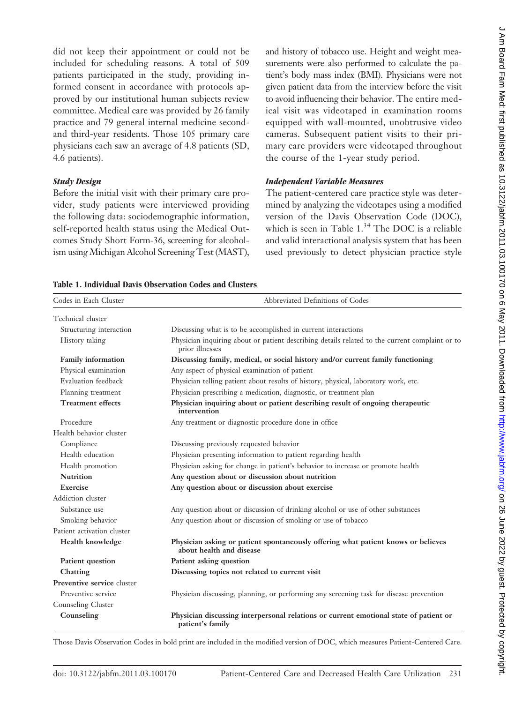did not keep their appointment or could not be included for scheduling reasons. A total of 509 patients participated in the study, providing informed consent in accordance with protocols approved by our institutional human subjects review committee. Medical care was provided by 26 family practice and 79 general internal medicine secondand third-year residents. Those 105 primary care physicians each saw an average of 4.8 patients (SD, 4.6 patients).

#### *Study Design*

Before the initial visit with their primary care provider, study patients were interviewed providing the following data: sociodemographic information, self-reported health status using the Medical Outcomes Study Short Form-36, screening for alcoholism using Michigan Alcohol Screening Test (MAST),

**Table 1. Individual Davis Observation Codes and Clusters**

and history of tobacco use. Height and weight measurements were also performed to calculate the patient's body mass index (BMI). Physicians were not given patient data from the interview before the visit to avoid influencing their behavior. The entire medical visit was videotaped in examination rooms equipped with wall-mounted, unobtrusive video cameras. Subsequent patient visits to their primary care providers were videotaped throughout the course of the 1-year study period.

### *Independent Variable Measures*

The patient-centered care practice style was determined by analyzing the videotapes using a modified version of the Davis Observation Code (DOC), which is seen in Table 1.<sup>34</sup> The DOC is a reliable and valid interactional analysis system that has been used previously to detect physician practice style

| Codes in Each Cluster      | Abbreviated Definitions of Codes                                                                                  |
|----------------------------|-------------------------------------------------------------------------------------------------------------------|
|                            |                                                                                                                   |
| Technical cluster          |                                                                                                                   |
| Structuring interaction    | Discussing what is to be accomplished in current interactions                                                     |
| History taking             | Physician inquiring about or patient describing details related to the current complaint or to<br>prior illnesses |
| <b>Family information</b>  | Discussing family, medical, or social history and/or current family functioning                                   |
| Physical examination       | Any aspect of physical examination of patient                                                                     |
| Evaluation feedback        | Physician telling patient about results of history, physical, laboratory work, etc.                               |
| Planning treatment         | Physician prescribing a medication, diagnostic, or treatment plan                                                 |
| <b>Treatment effects</b>   | Physician inquiring about or patient describing result of ongoing therapeutic<br>intervention                     |
| Procedure                  | Any treatment or diagnostic procedure done in office                                                              |
| Health behavior cluster    |                                                                                                                   |
| Compliance                 | Discussing previously requested behavior                                                                          |
| Health education           | Physician presenting information to patient regarding health                                                      |
| Health promotion           | Physician asking for change in patient's behavior to increase or promote health                                   |
| <b>Nutrition</b>           | Any question about or discussion about nutrition                                                                  |
| Exercise                   | Any question about or discussion about exercise                                                                   |
| Addiction cluster          |                                                                                                                   |
| Substance use              | Any question about or discussion of drinking alcohol or use of other substances                                   |
| Smoking behavior           | Any question about or discussion of smoking or use of tobacco                                                     |
| Patient activation cluster |                                                                                                                   |
| <b>Health knowledge</b>    | Physician asking or patient spontaneously offering what patient knows or believes<br>about health and disease     |
| Patient question           | Patient asking question                                                                                           |
| Chatting                   | Discussing topics not related to current visit                                                                    |
| Preventive service cluster |                                                                                                                   |
| Preventive service         | Physician discussing, planning, or performing any screening task for disease prevention                           |
| Counseling Cluster         |                                                                                                                   |
| Counseling                 | Physician discussing interpersonal relations or current emotional state of patient or<br>patient's family         |

Those Davis Observation Codes in bold print are included in the modified version of DOC, which measures Patient-Centered Care.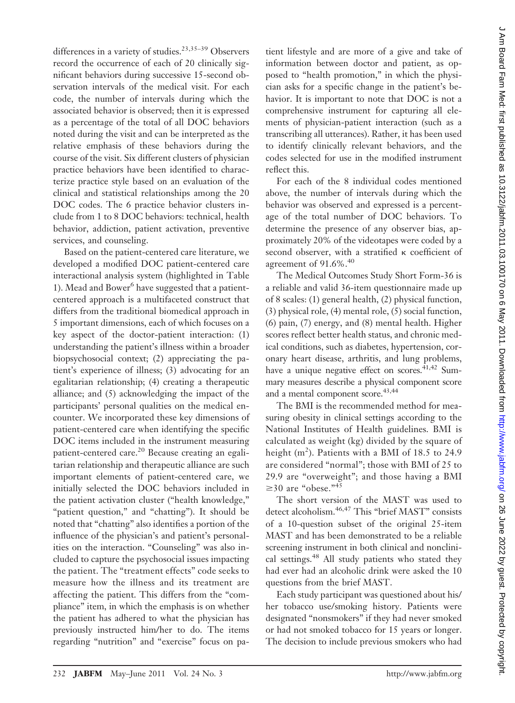differences in a variety of studies.<sup>23,35–39</sup> Observers record the occurrence of each of 20 clinically significant behaviors during successive 15-second observation intervals of the medical visit. For each code, the number of intervals during which the associated behavior is observed; then it is expressed as a percentage of the total of all DOC behaviors noted during the visit and can be interpreted as the relative emphasis of these behaviors during the course of the visit. Six different clusters of physician practice behaviors have been identified to characterize practice style based on an evaluation of the clinical and statistical relationships among the 20 DOC codes. The 6 practice behavior clusters include from 1 to 8 DOC behaviors: technical, health behavior, addiction, patient activation, preventive services, and counseling.

Based on the patient-centered care literature, we developed a modified DOC patient-centered care interactional analysis system (highlighted in Table 1). Mead and Bower $<sup>6</sup>$  have suggested that a patient-</sup> centered approach is a multifaceted construct that differs from the traditional biomedical approach in 5 important dimensions, each of which focuses on a key aspect of the doctor-patient interaction: (1) understanding the patient's illness within a broader biopsychosocial context; (2) appreciating the patient's experience of illness; (3) advocating for an egalitarian relationship; (4) creating a therapeutic alliance; and (5) acknowledging the impact of the participants' personal qualities on the medical encounter. We incorporated these key dimensions of patient-centered care when identifying the specific DOC items included in the instrument measuring patient-centered care.<sup>20</sup> Because creating an egalitarian relationship and therapeutic alliance are such important elements of patient-centered care, we initially selected the DOC behaviors included in the patient activation cluster ("health knowledge," "patient question," and "chatting"). It should be noted that "chatting" also identifies a portion of the influence of the physician's and patient's personalities on the interaction. "Counseling" was also included to capture the psychosocial issues impacting the patient. The "treatment effects" code seeks to measure how the illness and its treatment are affecting the patient. This differs from the "compliance" item, in which the emphasis is on whether the patient has adhered to what the physician has previously instructed him/her to do. The items regarding "nutrition" and "exercise" focus on pa-

tient lifestyle and are more of a give and take of information between doctor and patient, as opposed to "health promotion," in which the physician asks for a specific change in the patient's behavior. It is important to note that DOC is not a comprehensive instrument for capturing all elements of physician-patient interaction (such as a transcribing all utterances). Rather, it has been used to identify clinically relevant behaviors, and the codes selected for use in the modified instrument reflect this.

For each of the 8 individual codes mentioned above, the number of intervals during which the behavior was observed and expressed is a percentage of the total number of DOC behaviors. To determine the presence of any observer bias, approximately 20% of the videotapes were coded by a second observer, with a stratified  $\kappa$  coefficient of agreement of 91.6%.<sup>40</sup>

The Medical Outcomes Study Short Form-36 is a reliable and valid 36-item questionnaire made up of 8 scales: (1) general health, (2) physical function, (3) physical role, (4) mental role, (5) social function, (6) pain, (7) energy, and (8) mental health. Higher scores reflect better health status, and chronic medical conditions, such as diabetes, hypertension, coronary heart disease, arthritis, and lung problems, have a unique negative effect on scores. $41,42$  Summary measures describe a physical component score and a mental component score.<sup>43,44</sup>

The BMI is the recommended method for measuring obesity in clinical settings according to the National Institutes of Health guidelines. BMI is calculated as weight (kg) divided by the square of height  $(m^2)$ . Patients with a BMI of 18.5 to 24.9 are considered "normal"; those with BMI of 25 to 29.9 are "overweight"; and those having a BMI  $\geq$ 30 are "obese."<sup>45</sup>

The short version of the MAST was used to detect alcoholism.<sup>46,47</sup> This "brief MAST" consists of a 10-question subset of the original 25-item MAST and has been demonstrated to be a reliable screening instrument in both clinical and nonclinical settings.<sup>48</sup> All study patients who stated they had ever had an alcoholic drink were asked the 10 questions from the brief MAST.

Each study participant was questioned about his/ her tobacco use/smoking history. Patients were designated "nonsmokers" if they had never smoked or had not smoked tobacco for 15 years or longer. The decision to include previous smokers who had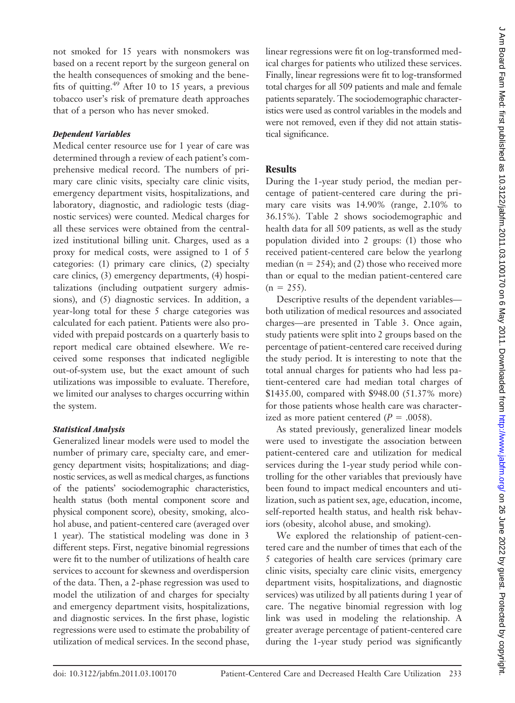not smoked for 15 years with nonsmokers was based on a recent report by the surgeon general on the health consequences of smoking and the benefits of quitting.<sup>49</sup> After 10 to 15 years, a previous tobacco user's risk of premature death approaches that of a person who has never smoked.

#### *Dependent Variables*

Medical center resource use for 1 year of care was determined through a review of each patient's comprehensive medical record. The numbers of primary care clinic visits, specialty care clinic visits, emergency department visits, hospitalizations, and laboratory, diagnostic, and radiologic tests (diagnostic services) were counted. Medical charges for all these services were obtained from the centralized institutional billing unit. Charges, used as a proxy for medical costs, were assigned to 1 of 5 categories: (1) primary care clinics, (2) specialty care clinics, (3) emergency departments, (4) hospitalizations (including outpatient surgery admissions), and (5) diagnostic services. In addition, a year-long total for these 5 charge categories was calculated for each patient. Patients were also provided with prepaid postcards on a quarterly basis to report medical care obtained elsewhere. We received some responses that indicated negligible out-of-system use, but the exact amount of such utilizations was impossible to evaluate. Therefore, we limited our analyses to charges occurring within the system.

#### *Statistical Analysis*

Generalized linear models were used to model the number of primary care, specialty care, and emergency department visits; hospitalizations; and diagnostic services, as well as medical charges, as functions of the patients' sociodemographic characteristics, health status (both mental component score and physical component score), obesity, smoking, alcohol abuse, and patient-centered care (averaged over 1 year). The statistical modeling was done in 3 different steps. First, negative binomial regressions were fit to the number of utilizations of health care services to account for skewness and overdispersion of the data. Then, a 2-phase regression was used to model the utilization of and charges for specialty and emergency department visits, hospitalizations, and diagnostic services. In the first phase, logistic regressions were used to estimate the probability of utilization of medical services. In the second phase,

linear regressions were fit on log-transformed medical charges for patients who utilized these services. Finally, linear regressions were fit to log-transformed total charges for all 509 patients and male and female patients separately. The sociodemographic characteristics were used as control variables in the models and were not removed, even if they did not attain statistical significance.

## **Results**

During the 1-year study period, the median percentage of patient-centered care during the primary care visits was 14.90% (range, 2.10% to 36.15%). Table 2 shows sociodemographic and health data for all 509 patients, as well as the study population divided into 2 groups: (1) those who received patient-centered care below the yearlong median ( $n = 254$ ); and (2) those who received more than or equal to the median patient-centered care  $(n = 255)$ .

Descriptive results of the dependent variables both utilization of medical resources and associated charges—are presented in Table 3. Once again, study patients were split into 2 groups based on the percentage of patient-centered care received during the study period. It is interesting to note that the total annual charges for patients who had less patient-centered care had median total charges of \$1435.00, compared with \$948.00 (51.37% more) for those patients whose health care was characterized as more patient centered  $(P = .0058)$ .

As stated previously, generalized linear models were used to investigate the association between patient-centered care and utilization for medical services during the 1-year study period while controlling for the other variables that previously have been found to impact medical encounters and utilization, such as patient sex, age, education, income, self-reported health status, and health risk behaviors (obesity, alcohol abuse, and smoking).

We explored the relationship of patient-centered care and the number of times that each of the 5 categories of health care services (primary care clinic visits, specialty care clinic visits, emergency department visits, hospitalizations, and diagnostic services) was utilized by all patients during 1 year of care. The negative binomial regression with log link was used in modeling the relationship. A greater average percentage of patient-centered care during the 1-year study period was significantly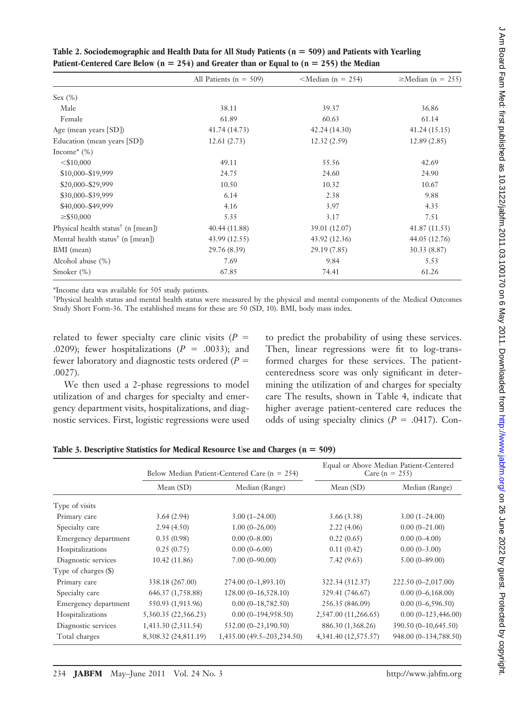|                                                | All Patients ( $n = 509$ ) | $\leq M$ edian (n = 254) | $\geq$ Median (n = 255) |
|------------------------------------------------|----------------------------|--------------------------|-------------------------|
| Sex (%)                                        |                            |                          |                         |
| Male                                           | 38.11                      | 39.37                    | 36.86                   |
| Female                                         | 61.89                      | 60.63                    | 61.14                   |
| Age (mean years [SD])                          | 41.74(14.73)               | 42.24(14.30)             | 41.24(15.15)            |
| Education (mean years [SD])                    | 12.61(2.73)                | 12.32(2.59)              | 12.89(2.85)             |
| Income <sup><math>*(\%)</math></sup>           |                            |                          |                         |
| $<$ \$10,000                                   | 49.11                      | 55.56                    | 42.69                   |
| \$10,000-\$19,999                              | 24.75                      | 24.60                    | 24.90                   |
| \$20,000-\$29,999                              | 10.50                      | 10.32                    | 10.67                   |
| \$30,000-\$39,999                              | 6.14                       | 2.38                     | 9.88                    |
| \$40,000-\$49,999                              | 4.16                       | 3.97                     | 4.35                    |
| $\geq$ \$50,000                                | 5.35                       | 3.17                     | 7.51                    |
| Physical health status <sup>†</sup> (n [mean]) | 40.44 (11.88)              | 39.01 (12.07)            | 41.87(11.53)            |
| Mental health status <sup>†</sup> (n [mean])   | 43.99 (12.55)              | 43.92 (12.36)            | 44.05 (12.76)           |
| BMI (mean)                                     | 29.76 (8.39)               | 29.19 (7.85)             | 30.33 (8.87)            |
| Alcohol abuse (%)                              | 7.69                       | 9.84                     | 5.53                    |
| Smoker $(\%)$                                  | 67.85                      | 74.41                    | 61.26                   |

**Table 2. Sociodemographic and Health Data for All Study Patients (n 509) and Patients with Yearling Patient-Centered Care Below (n**  $= 254$ ) and Greater than or Equal to (n  $= 255$ ) the Median

\*Income data was available for 505 study patients.

† Physical health status and mental health status were measured by the physical and mental components of the Medical Outcomes Study Short Form-36. The established means for these are 50 (SD, 10). BMI, body mass index.

related to fewer specialty care clinic visits  $(P =$ .0209); fewer hospitalizations  $(P = .0033)$ ; and fewer laboratory and diagnostic tests ordered  $(P =$ .0027).

We then used a 2-phase regressions to model utilization of and charges for specialty and emergency department visits, hospitalizations, and diagnostic services. First, logistic regressions were used to predict the probability of using these services. Then, linear regressions were fit to log-transformed charges for these services. The patientcenteredness score was only significant in determining the utilization of and charges for specialty care The results, shown in Table 4, indicate that higher average patient-centered care reduces the odds of using specialty clinics ( $P = .0417$ ). Con-

|                        |                      | Below Median Patient-Centered Care ( $n = 254$ ) | Equal or Above Median Patient-Centered<br>Care (n = 255) |                       |  |
|------------------------|----------------------|--------------------------------------------------|----------------------------------------------------------|-----------------------|--|
|                        | Mean(SD)             | Median (Range)                                   | Mean (SD)                                                | Median (Range)        |  |
| Type of visits         |                      |                                                  |                                                          |                       |  |
| Primary care           | 3.64(2.94)           | $3.00(1-24.00)$                                  | 3.66(3.38)                                               | $3.00(1-24.00)$       |  |
| Specialty care         | 2.94(4.50)           | $1.00(0-26.00)$                                  | 2.22(4.06)                                               | $0.00(0-21.00)$       |  |
| Emergency department   | 0.35(0.98)           | $0.00(0-8.00)$                                   | 0.22(0.65)                                               | $0.00(0-4.00)$        |  |
| Hospitalizations       | 0.25(0.75)           | $0.00(0-6.00)$                                   | 0.11(0.42)                                               | $0.00(0-3.00)$        |  |
| Diagnostic services    | 10.42(11.86)         | $7.00(0 - 90.00)$                                | 7.42(9.63)                                               | $5.00(0 - 89.00)$     |  |
| Type of charges $(\$)$ |                      |                                                  |                                                          |                       |  |
| Primary care           | 338.18 (267.00)      | $274.00(0-1,893.10)$                             | 322.34 (312.37)                                          | 222.50 (0-2,017.00)   |  |
| Specialty care         | 646.37 (1,758.88)    | $128.00(0-16,528.10)$                            | 329.41 (746.67)                                          | $0.00(0-6,168.00)$    |  |
| Emergency department   | 550.93 (1,913.96)    | $0.00(0-18,782.50)$                              | 256.35 (846.09)                                          | $0.00(0-6,596.50)$    |  |
| Hospitalizations       | 5,360.35 (22,566.23) | $0.00(0-194,958.50)$                             | 2,547.00 (11,266.65)                                     | $0.00(0-123,446.00)$  |  |
| Diagnostic services    | 1,413.30 (2,311.54)  | 532.00 (0-23,190.50)                             | 886.30 (1,368.26)                                        | 390.50 (0-10,645.50)  |  |
| Total charges          | 8,308.32 (24,811.19) | 1,435.00 (49.5–203,234.50)                       | 4,341.40 (12,575.57)                                     | 948.00 (0-134,788.50) |  |

**Table 3. Descriptive Statistics for Medical Resource Use and Charges (n 509)**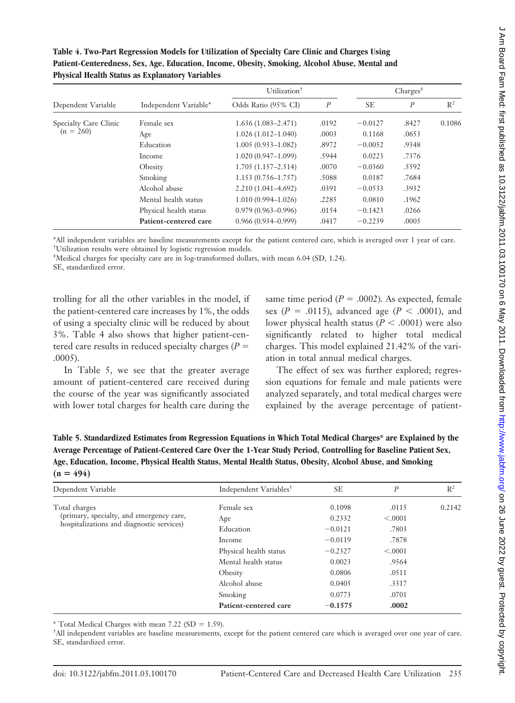| Table 4. Two-Part Regression Models for Utilization of Specialty Care Clinic and Charges Using |
|------------------------------------------------------------------------------------------------|
| Patient-Centeredness, Sex, Age, Education, Income, Obesity, Smoking, Alcohol Abuse, Mental and |
| <b>Physical Health Status as Explanatory Variables</b>                                         |

| Dependent Variable    |                        | Utilization <sup>+</sup> | $Chargest^{\ddagger}$ |           |                  |        |
|-----------------------|------------------------|--------------------------|-----------------------|-----------|------------------|--------|
|                       | Independent Variable*  | Odds Ratio (95% CI)      | $\boldsymbol{P}$      | <b>SE</b> | $\boldsymbol{P}$ | $R^2$  |
| Specialty Care Clinic | Female sex             | $1.636(1.083 - 2.471)$   | .0192                 | $-0.0127$ | .8427            | 0.1086 |
| $(n = 260)$           | Age                    | $1.026(1.012 - 1.040)$   | .0003                 | 0.1168    | .0653            |        |
|                       | Education              | $1.005(0.933 - 1.082)$   | .8972                 | $-0.0052$ | .9348            |        |
|                       | Income                 | $1.020(0.947-1.099)$     | .5944                 | 0.0223    | .7376            |        |
|                       | Obesity                | $1.705(1.157 - 2.514)$   | .0070                 | $-0.0360$ | .5592            |        |
|                       | Smoking                | $1.153(0.756 - 1.757)$   | .5088                 | 0.0187    | .7684            |        |
|                       | Alcohol abuse          | $2.210(1.041 - 4.692)$   | .0391                 | $-0.0533$ | .3932            |        |
|                       | Mental health status   | $1.010(0.994 - 1.026)$   | .2285                 | 0.0810    | .1962            |        |
|                       | Physical health status | $0.979(0.963 - 0.996)$   | .0154                 | $-0.1423$ | .0266            |        |
|                       | Patient-centered care  | $0.966(0.934 - 0.999)$   | .0417                 | $-0.2239$ | .0005            |        |

\*All independent variables are baseline measurements except for the patient centered care, which is averaged over 1 year of care. † Utilization results were obtained by logistic regression models.

‡ Medical charges for specialty care are in log-transformed dollars, with mean 6.04 (SD, 1.24).

SE, standardized error.

trolling for all the other variables in the model, if the patient-centered care increases by 1%, the odds of using a specialty clinic will be reduced by about 3%. Table 4 also shows that higher patient-centered care results in reduced specialty charges ( $P =$ .0005).

In Table 5, we see that the greater average amount of patient-centered care received during the course of the year was significantly associated with lower total charges for health care during the

same time period ( $P = .0002$ ). As expected, female sex  $(P = .0115)$ , advanced age  $(P < .0001)$ , and lower physical health status ( $P < .0001$ ) were also significantly related to higher total medical charges. This model explained 21.42% of the variation in total annual medical charges.

The effect of sex was further explored; regression equations for female and male patients were analyzed separately, and total medical charges were explained by the average percentage of patient-

**Table 5. Standardized Estimates from Regression Equations in Which Total Medical Charges\* are Explained by the Average Percentage of Patient-Centered Care Over the 1-Year Study Period, Controlling for Baseline Patient Sex, Age, Education, Income, Physical Health Status, Mental Health Status, Obesity, Alcohol Abuse, and Smoking**  $(n = 494)$ 

| Dependent Variable                        | Independent Variables <sup>†</sup> | <b>SE</b> | $\boldsymbol{P}$ | $R^2$  |
|-------------------------------------------|------------------------------------|-----------|------------------|--------|
| Total charges                             | Female sex                         | 0.1098    | .0115            | 0.2142 |
| (primary, specialty, and emergency care,  | Age                                | 0.2332    | < .0001          |        |
| hospitalizations and diagnostic services) | Education                          | $-0.0121$ | .7803            |        |
|                                           | Income                             | $-0.0119$ | .7878            |        |
|                                           | Physical health status             | $-0.2327$ | < 0.001          |        |
|                                           | Mental health status               | 0.0023    | .9564            |        |
|                                           | Obesity                            | 0.0806    | .0511            |        |
|                                           | Alcohol abuse                      | 0.0405    | .3317            |        |
|                                           | Smoking                            | 0.0773    | .0701            |        |
|                                           | Patient-centered care              | $-0.1575$ | .0002            |        |

\* Total Medical Charges with mean  $7.22$  (SD = 1.59).

† All independent variables are baseline measurements, except for the patient centered care which is averaged over one year of care. SE, standardized error.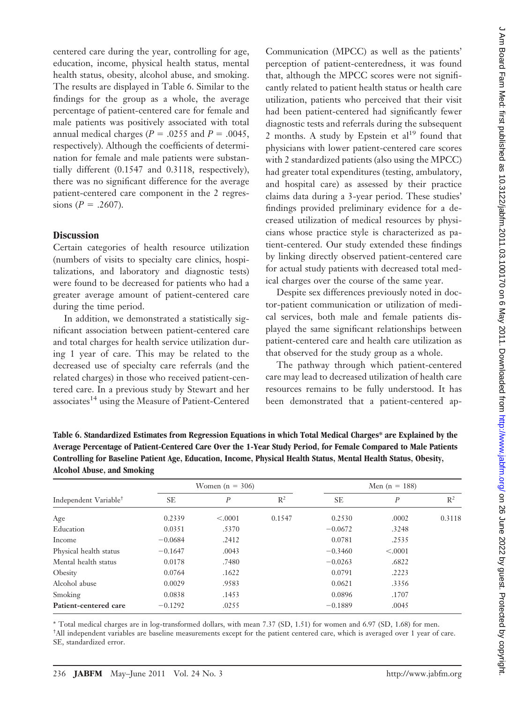centered care during the year, controlling for age, education, income, physical health status, mental health status, obesity, alcohol abuse, and smoking. The results are displayed in Table 6. Similar to the findings for the group as a whole, the average percentage of patient-centered care for female and male patients was positively associated with total annual medical charges ( $P = .0255$  and  $P = .0045$ , respectively). Although the coefficients of determination for female and male patients were substantially different (0.1547 and 0.3118, respectively), there was no significant difference for the average patient-centered care component in the 2 regres $sions (P = .2607).$ 

## **Discussion**

Certain categories of health resource utilization (numbers of visits to specialty care clinics, hospitalizations, and laboratory and diagnostic tests) were found to be decreased for patients who had a greater average amount of patient-centered care during the time period.

In addition, we demonstrated a statistically significant association between patient-centered care and total charges for health service utilization during 1 year of care. This may be related to the decreased use of specialty care referrals (and the related charges) in those who received patient-centered care. In a previous study by Stewart and her associates<sup>14</sup> using the Measure of Patient-Centered

Communication (MPCC) as well as the patients' perception of patient-centeredness, it was found that, although the MPCC scores were not significantly related to patient health status or health care utilization, patients who perceived that their visit had been patient-centered had significantly fewer diagnostic tests and referrals during the subsequent 2 months. A study by Epstein et  $al<sup>19</sup>$  found that physicians with lower patient-centered care scores with 2 standardized patients (also using the MPCC) had greater total expenditures (testing, ambulatory, and hospital care) as assessed by their practice claims data during a 3-year period. These studies' findings provided preliminary evidence for a decreased utilization of medical resources by physicians whose practice style is characterized as patient-centered. Our study extended these findings by linking directly observed patient-centered care for actual study patients with decreased total medical charges over the course of the same year.

Despite sex differences previously noted in doctor-patient communication or utilization of medical services, both male and female patients displayed the same significant relationships between patient-centered care and health care utilization as that observed for the study group as a whole.

The pathway through which patient-centered care may lead to decreased utilization of health care resources remains to be fully understood. It has been demonstrated that a patient-centered ap-

**Table 6. Standardized Estimates from Regression Equations in which Total Medical Charges\* are Explained by the Average Percentage of Patient-Centered Care Over the 1-Year Study Period, for Female Compared to Male Patients Controlling for Baseline Patient Age, Education, Income, Physical Health Status, Mental Health Status, Obesity, Alcohol Abuse, and Smoking**

|                                   |           | Women $(n = 306)$ |        |           | Men $(n = 188)$ |                |  |
|-----------------------------------|-----------|-------------------|--------|-----------|-----------------|----------------|--|
| Independent Variable <sup>†</sup> | <b>SE</b> | $\boldsymbol{P}$  | $R^2$  | <b>SE</b> | P               | $\mathbb{R}^2$ |  |
| Age                               | 0.2339    | < .0001           | 0.1547 | 0.2530    | .0002           | 0.3118         |  |
| Education                         | 0.0351    | .5370             |        | $-0.0672$ | .3248           |                |  |
| Income                            | $-0.0684$ | .2412             |        | 0.0781    | .2535           |                |  |
| Physical health status            | $-0.1647$ | .0043             |        | $-0.3460$ | < .0001         |                |  |
| Mental health status              | 0.0178    | .7480             |        | $-0.0263$ | .6822           |                |  |
| Obesity                           | 0.0764    | .1622             |        | 0.0791    | .2223           |                |  |
| Alcohol abuse                     | 0.0029    | .9583             |        | 0.0621    | .3356           |                |  |
| Smoking                           | 0.0838    | .1453             |        | 0.0896    | .1707           |                |  |
| Patient-centered care             | $-0.1292$ | .0255             |        | $-0.1889$ | .0045           |                |  |

\* Total medical charges are in log-transformed dollars, with mean 7.37 (SD, 1.51) for women and 6.97 (SD, 1.68) for men. † All independent variables are baseline measurements except for the patient centered care, which is averaged over 1 year of care. SE, standardized error.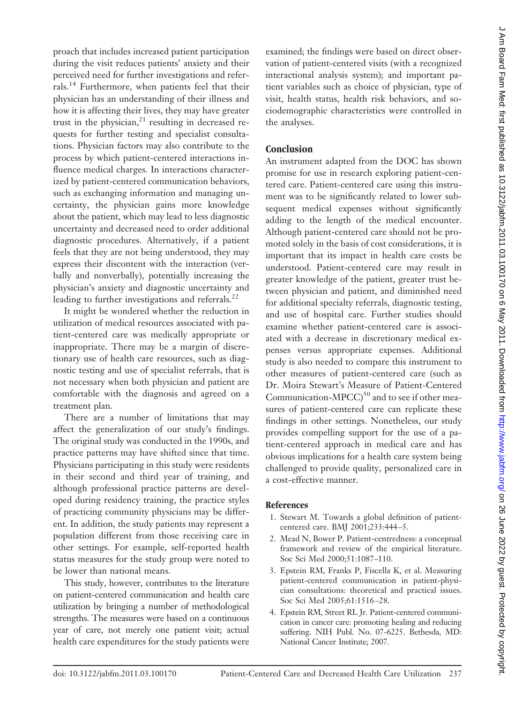proach that includes increased patient participation during the visit reduces patients' anxiety and their perceived need for further investigations and referrals.<sup>14</sup> Furthermore, when patients feel that their physician has an understanding of their illness and how it is affecting their lives, they may have greater trust in the physician, $21$  resulting in decreased requests for further testing and specialist consultations. Physician factors may also contribute to the process by which patient-centered interactions influence medical charges. In interactions characterized by patient-centered communication behaviors, such as exchanging information and managing uncertainty, the physician gains more knowledge about the patient, which may lead to less diagnostic uncertainty and decreased need to order additional diagnostic procedures. Alternatively, if a patient feels that they are not being understood, they may express their discontent with the interaction (verbally and nonverbally), potentially increasing the physician's anxiety and diagnostic uncertainty and leading to further investigations and referrals.<sup>22</sup>

It might be wondered whether the reduction in utilization of medical resources associated with patient-centered care was medically appropriate or inappropriate. There may be a margin of discretionary use of health care resources, such as diagnostic testing and use of specialist referrals, that is not necessary when both physician and patient are comfortable with the diagnosis and agreed on a treatment plan.

There are a number of limitations that may affect the generalization of our study's findings. The original study was conducted in the 1990s, and practice patterns may have shifted since that time. Physicians participating in this study were residents in their second and third year of training, and although professional practice patterns are developed during residency training, the practice styles of practicing community physicians may be different. In addition, the study patients may represent a population different from those receiving care in other settings. For example, self-reported health status measures for the study group were noted to be lower than national means.

This study, however, contributes to the literature on patient-centered communication and health care utilization by bringing a number of methodological strengths. The measures were based on a continuous year of care, not merely one patient visit; actual health care expenditures for the study patients were

examined; the findings were based on direct observation of patient-centered visits (with a recognized interactional analysis system); and important patient variables such as choice of physician, type of visit, health status, health risk behaviors, and sociodemographic characteristics were controlled in the analyses.

# **Conclusion**

An instrument adapted from the DOC has shown promise for use in research exploring patient-centered care. Patient-centered care using this instrument was to be significantly related to lower subsequent medical expenses without significantly adding to the length of the medical encounter. Although patient-centered care should not be promoted solely in the basis of cost considerations, it is important that its impact in health care costs be understood. Patient-centered care may result in greater knowledge of the patient, greater trust between physician and patient, and diminished need for additional specialty referrals, diagnostic testing, and use of hospital care. Further studies should examine whether patient-centered care is associated with a decrease in discretionary medical expenses versus appropriate expenses. Additional study is also needed to compare this instrument to other measures of patient-centered care (such as Dr. Moira Stewart's Measure of Patient-Centered Communication-MPCC) $50$  and to see if other measures of patient-centered care can replicate these findings in other settings. Nonetheless, our study provides compelling support for the use of a patient-centered approach in medical care and has obvious implications for a health care system being challenged to provide quality, personalized care in a cost-effective manner.

## **References**

- 1. Stewart M. Towards a global definition of patientcentered care. BMJ 2001;233:444 –5.
- 2. Mead N, Bower P. Patient-centredness: a conceptual framework and review of the empirical literature. Soc Sci Med 2000;51:1087–110.
- 3. Epstein RM, Franks P, Fiscella K, et al. Measuring patient-centered communication in patient-physician consultations: theoretical and practical issues. Soc Sci Med 2005;61:1516 –28.
- 4. Epstein RM, Street RL Jr. Patient-centered communication in cancer care: promoting healing and reducing suffering. NIH Publ. No. 07-6225. Bethesda, MD: National Cancer Institute; 2007.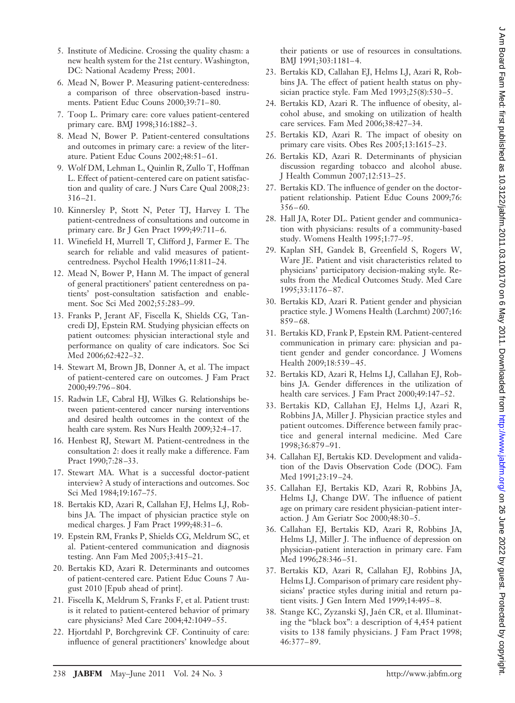- 5. Institute of Medicine. Crossing the quality chasm: a new health system for the 21st century. Washington, DC: National Academy Press; 2001.
- 6. Mead N, Bower P. Measuring patient-centeredness: a comparison of three observation-based instruments. Patient Educ Couns 2000;39:71– 80.
- 7. Toop L. Primary care: core values patient-centered primary care. BMJ 1998;316:1882–3.
- 8. Mead N, Bower P. Patient-centered consultations and outcomes in primary care: a review of the literature. Patient Educ Couns 2002;48:51– 61.
- 9. Wolf DM, Lehman L, Quinlin R, Zullo T, Hoffman L. Effect of patient-centered care on patient satisfaction and quality of care. J Nurs Care Qual 2008;23: 316 –21.
- 10. Kinnersley P, Stott N, Peter TJ, Harvey I. The patient-centredness of consultations and outcome in primary care. Br J Gen Pract 1999;49:711-6.
- 11. Winefield H, Murrell T, Clifford J, Farmer E. The search for reliable and valid measures of patientcentredness. Psychol Health 1996;11:811–24.
- 12. Mead N, Bower P, Hann M. The impact of general of general practitioners' patient centeredness on patients' post-consultation satisfaction and enablement. Soc Sci Med 2002;55:283–99.
- 13. Franks P, Jerant AF, Fiscella K, Shields CG, Tancredi DJ, Epstein RM. Studying physician effects on patient outcomes: physician interactional style and performance on quality of care indicators. Soc Sci Med 2006;62:422–32.
- 14. Stewart M, Brown JB, Donner A, et al. The impact of patient-centered care on outcomes. J Fam Pract 2000;49:796 – 804.
- 15. Radwin LE, Cabral HJ, Wilkes G. Relationships between patient-centered cancer nursing interventions and desired health outcomes in the context of the health care system. Res Nurs Health 2009;32:4 –17.
- 16. Henbest RJ, Stewart M. Patient-centredness in the consultation 2: does it really make a difference. Fam Pract 1990;7:28 –33.
- 17. Stewart MA. What is a successful doctor-patient interview? A study of interactions and outcomes. Soc Sci Med 1984;19:167–75.
- 18. Bertakis KD, Azari R, Callahan EJ, Helms LJ, Robbins JA. The impact of physician practice style on medical charges. J Fam Pract 1999;48:31-6.
- 19. Epstein RM, Franks P, Shields CG, Meldrum SC, et al. Patient-centered communication and diagnosis testing. Ann Fam Med 2005;3:415–21.
- 20. Bertakis KD, Azari R. Determinants and outcomes of patient-centered care. Patient Educ Couns 7 August 2010 [Epub ahead of print].
- 21. Fiscella K, Meldrum S, Franks F, et al. Patient trust: is it related to patient-centered behavior of primary care physicians? Med Care 2004;42:1049 –55.
- 22. Hjortdahl P, Borchgrevink CF. Continuity of care: influence of general practitioners' knowledge about

their patients or use of resources in consultations. BMJ 1991;303:1181-4.

- 23. Bertakis KD, Callahan EJ, Helms LJ, Azari R, Robbins JA. The effect of patient health status on physician practice style. Fam Med 1993;25(8):530 –5.
- 24. Bertakis KD, Azari R. The influence of obesity, alcohol abuse, and smoking on utilization of health care services. Fam Med 2006;38:427–34.
- 25. Bertakis KD, Azari R. The impact of obesity on primary care visits. Obes Res 2005;13:1615–23.
- 26. Bertakis KD, Azari R. Determinants of physician discussion regarding tobacco and alcohol abuse. J Health Commun 2007;12:513–25.
- 27. Bertakis KD. The influence of gender on the doctorpatient relationship. Patient Educ Couns 2009;76:  $356 - 60.$
- 28. Hall JA, Roter DL. Patient gender and communication with physicians: results of a community-based study. Womens Health 1995;1:77–95.
- 29. Kaplan SH, Gandek B, Greenfield S, Rogers W, Ware JE. Patient and visit characteristics related to physicians' participatory decision-making style. Results from the Medical Outcomes Study. Med Care 1995;33:1176 – 87.
- 30. Bertakis KD, Azari R. Patient gender and physician practice style. J Womens Health (Larchmt) 2007;16: 859 – 68.
- 31. Bertakis KD, Frank P, Epstein RM. Patient-centered communication in primary care: physician and patient gender and gender concordance. J Womens Health 2009;18:539 – 45.
- 32. Bertakis KD, Azari R, Helms LJ, Callahan EJ, Robbins JA. Gender differences in the utilization of health care services. J Fam Pract 2000;49:147–52.
- 33. Bertakis KD, Callahan EJ, Helms LJ, Azari R, Robbins JA, Miller J. Physician practice styles and patient outcomes. Difference between family practice and general internal medicine. Med Care 1998;36:879 –91.
- 34. Callahan EJ, Bertakis KD. Development and validation of the Davis Observation Code (DOC). Fam Med 1991;23:19 –24.
- 35. Callahan EJ, Bertakis KD, Azari R, Robbins JA, Helms LJ, Change DW. The influence of patient age on primary care resident physician-patient interaction. J Am Geriatr Soc 2000;48:30 –5.
- 36. Callahan EJ, Bertakis KD, Azari R, Robbins JA, Helms LJ, Miller J. The influence of depression on physician-patient interaction in primary care. Fam Med 1996;28:346-51.
- 37. Bertakis KD, Azari R, Callahan EJ, Robbins JA, Helms LJ. Comparison of primary care resident physicians' practice styles during initial and return patient visits. J Gen Intern Med 1999;14:495-8.
- 38. Stange KC, Zyzanski SJ, Jaén CR, et al. Illuminating the "black box": a description of 4,454 patient visits to 138 family physicians. J Fam Pract 1998; 46:377– 89.